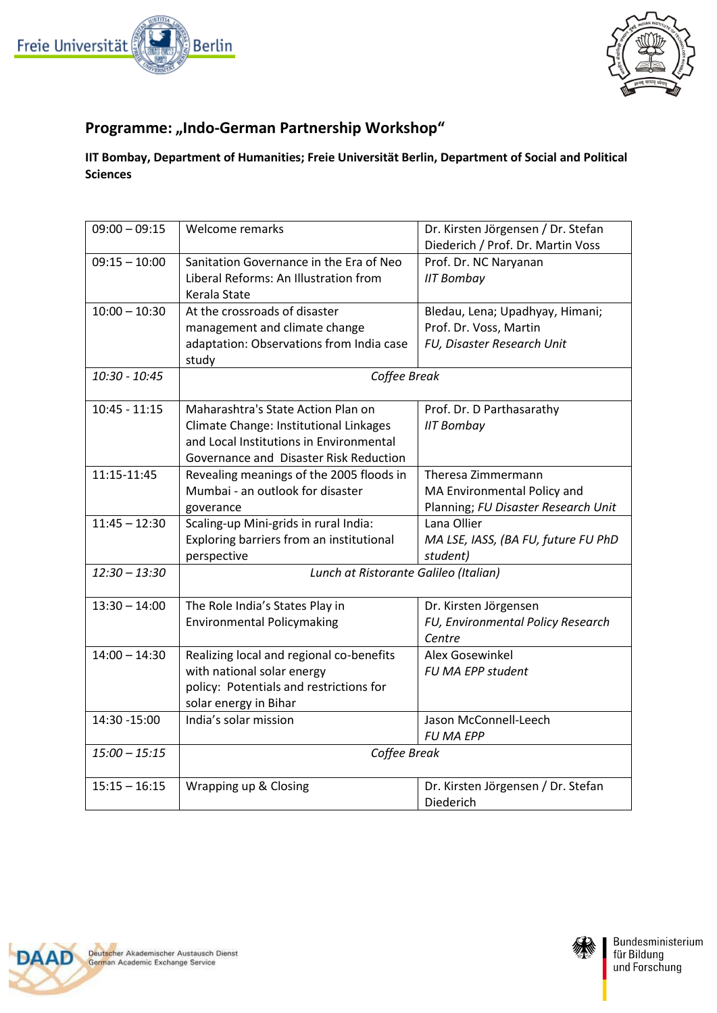



## **Programme: "Indo-German Partnership Workshop"**

## **IIT Bombay, Department of Humanities; Freie Universität Berlin, Department of Social and Political Sciences**

| $09:00 - 09:15$ | Welcome remarks                          | Dr. Kirsten Jörgensen / Dr. Stefan<br>Diederich / Prof. Dr. Martin Voss |
|-----------------|------------------------------------------|-------------------------------------------------------------------------|
| $09:15 - 10:00$ | Sanitation Governance in the Era of Neo  | Prof. Dr. NC Naryanan                                                   |
|                 | Liberal Reforms: An Illustration from    | <b>IIT Bombay</b>                                                       |
|                 | Kerala State                             |                                                                         |
| $10:00 - 10:30$ | At the crossroads of disaster            | Bledau, Lena; Upadhyay, Himani;                                         |
|                 | management and climate change            | Prof. Dr. Voss, Martin                                                  |
|                 | adaptation: Observations from India case | FU, Disaster Research Unit                                              |
|                 | study                                    |                                                                         |
| 10:30 - 10:45   | Coffee Break                             |                                                                         |
| $10:45 - 11:15$ | Maharashtra's State Action Plan on       | Prof. Dr. D Parthasarathy                                               |
|                 | Climate Change: Institutional Linkages   | <b>IIT Bombay</b>                                                       |
|                 | and Local Institutions in Environmental  |                                                                         |
|                 | Governance and Disaster Risk Reduction   |                                                                         |
| 11:15-11:45     | Revealing meanings of the 2005 floods in | Theresa Zimmermann                                                      |
|                 | Mumbai - an outlook for disaster         | MA Environmental Policy and                                             |
|                 | goverance                                | Planning; FU Disaster Research Unit                                     |
| $11:45 - 12:30$ | Scaling-up Mini-grids in rural India:    | Lana Ollier                                                             |
|                 | Exploring barriers from an institutional | MA LSE, IASS, (BA FU, future FU PhD                                     |
|                 | perspective                              | student)                                                                |
| $12:30 - 13:30$ | Lunch at Ristorante Galileo (Italian)    |                                                                         |
| $13:30 - 14:00$ | The Role India's States Play in          | Dr. Kirsten Jörgensen                                                   |
|                 | <b>Environmental Policymaking</b>        | FU, Environmental Policy Research                                       |
|                 |                                          | Centre                                                                  |
| $14:00 - 14:30$ | Realizing local and regional co-benefits | Alex Gosewinkel                                                         |
|                 | with national solar energy               | FU MA EPP student                                                       |
|                 | policy: Potentials and restrictions for  |                                                                         |
|                 | solar energy in Bihar                    |                                                                         |
| 14:30 - 15:00   | India's solar mission                    | Jason McConnell-Leech                                                   |
|                 |                                          | <b>FU MA EPP</b>                                                        |
| $15:00 - 15:15$ | Coffee Break                             |                                                                         |
| $15:15 - 16:15$ | Wrapping up & Closing                    | Dr. Kirsten Jörgensen / Dr. Stefan                                      |
|                 |                                          | Diederich                                                               |